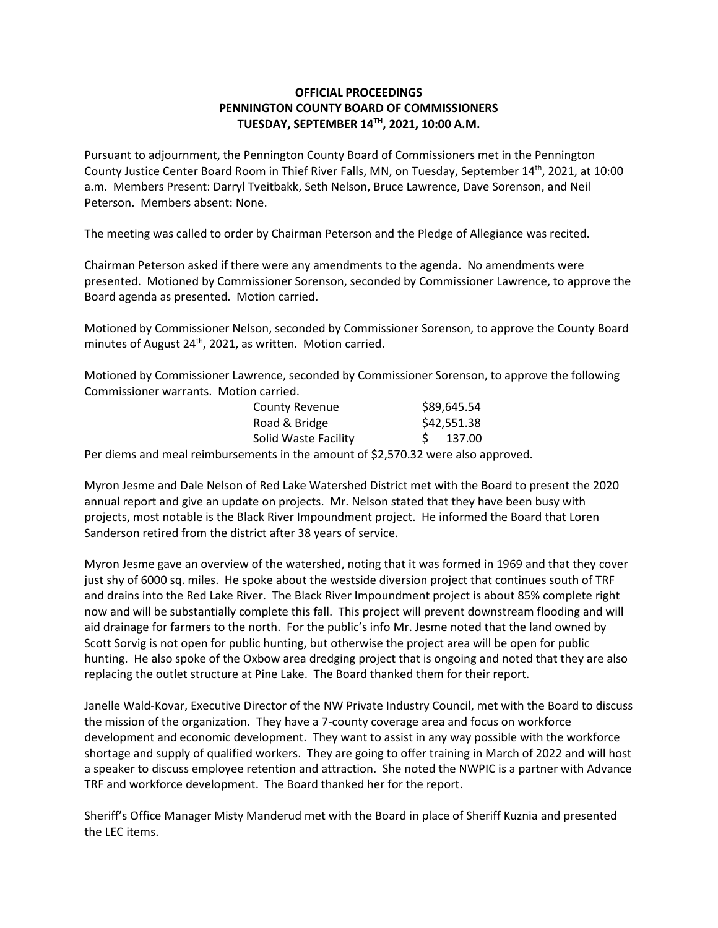## **OFFICIAL PROCEEDINGS PENNINGTON COUNTY BOARD OF COMMISSIONERS TUESDAY, SEPTEMBER 14TH, 2021, 10:00 A.M.**

Pursuant to adjournment, the Pennington County Board of Commissioners met in the Pennington County Justice Center Board Room in Thief River Falls, MN, on Tuesday, September 14<sup>th</sup>, 2021, at 10:00 a.m. Members Present: Darryl Tveitbakk, Seth Nelson, Bruce Lawrence, Dave Sorenson, and Neil Peterson. Members absent: None.

The meeting was called to order by Chairman Peterson and the Pledge of Allegiance was recited.

Chairman Peterson asked if there were any amendments to the agenda. No amendments were presented. Motioned by Commissioner Sorenson, seconded by Commissioner Lawrence, to approve the Board agenda as presented. Motion carried.

Motioned by Commissioner Nelson, seconded by Commissioner Sorenson, to approve the County Board minutes of August  $24<sup>th</sup>$ , 2021, as written. Motion carried.

Motioned by Commissioner Lawrence, seconded by Commissioner Sorenson, to approve the following Commissioner warrants. Motion carried.

| <b>County Revenue</b>                                                  |             | \$89,645.54 |  |
|------------------------------------------------------------------------|-------------|-------------|--|
| Road & Bridge                                                          | \$42,551.38 |             |  |
| Solid Waste Facility                                                   |             | \$ 137.00   |  |
| re and meal reimburgements in the amount of \$2.570.22 were also annou |             |             |  |

Per diems and meal reimbursements in the amount of \$2,570.32 were also approved.

Myron Jesme and Dale Nelson of Red Lake Watershed District met with the Board to present the 2020 annual report and give an update on projects. Mr. Nelson stated that they have been busy with projects, most notable is the Black River Impoundment project. He informed the Board that Loren Sanderson retired from the district after 38 years of service.

Myron Jesme gave an overview of the watershed, noting that it was formed in 1969 and that they cover just shy of 6000 sq. miles. He spoke about the westside diversion project that continues south of TRF and drains into the Red Lake River. The Black River Impoundment project is about 85% complete right now and will be substantially complete this fall. This project will prevent downstream flooding and will aid drainage for farmers to the north. For the public's info Mr. Jesme noted that the land owned by Scott Sorvig is not open for public hunting, but otherwise the project area will be open for public hunting. He also spoke of the Oxbow area dredging project that is ongoing and noted that they are also replacing the outlet structure at Pine Lake. The Board thanked them for their report.

Janelle Wald-Kovar, Executive Director of the NW Private Industry Council, met with the Board to discuss the mission of the organization. They have a 7-county coverage area and focus on workforce development and economic development. They want to assist in any way possible with the workforce shortage and supply of qualified workers. They are going to offer training in March of 2022 and will host a speaker to discuss employee retention and attraction. She noted the NWPIC is a partner with Advance TRF and workforce development. The Board thanked her for the report.

Sheriff's Office Manager Misty Manderud met with the Board in place of Sheriff Kuznia and presented the LEC items.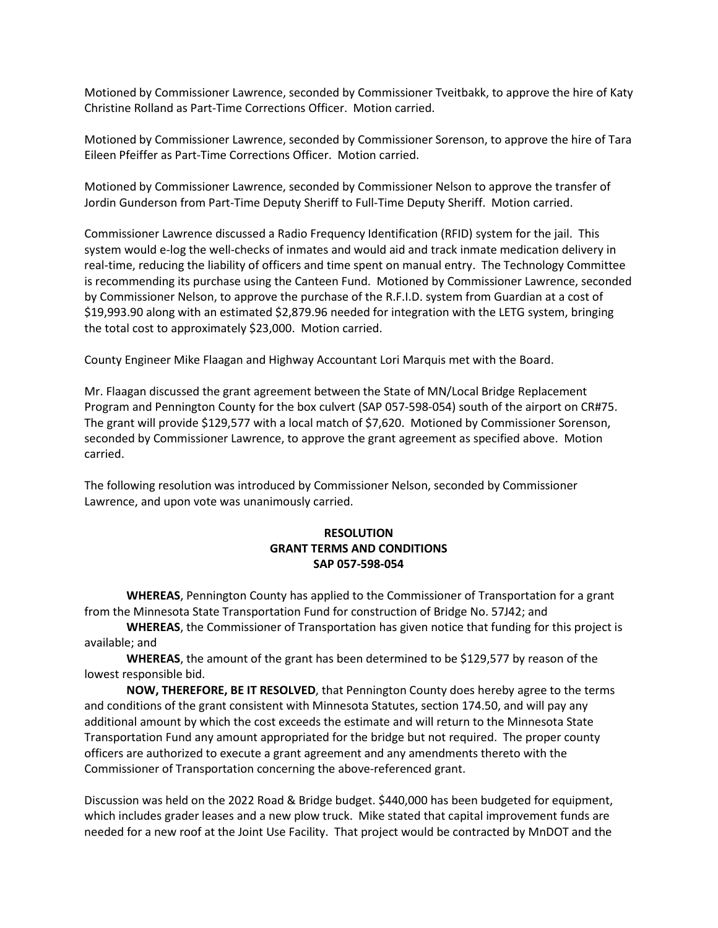Motioned by Commissioner Lawrence, seconded by Commissioner Tveitbakk, to approve the hire of Katy Christine Rolland as Part-Time Corrections Officer. Motion carried.

Motioned by Commissioner Lawrence, seconded by Commissioner Sorenson, to approve the hire of Tara Eileen Pfeiffer as Part-Time Corrections Officer. Motion carried.

Motioned by Commissioner Lawrence, seconded by Commissioner Nelson to approve the transfer of Jordin Gunderson from Part-Time Deputy Sheriff to Full-Time Deputy Sheriff. Motion carried.

Commissioner Lawrence discussed a Radio Frequency Identification (RFID) system for the jail. This system would e-log the well-checks of inmates and would aid and track inmate medication delivery in real-time, reducing the liability of officers and time spent on manual entry. The Technology Committee is recommending its purchase using the Canteen Fund. Motioned by Commissioner Lawrence, seconded by Commissioner Nelson, to approve the purchase of the R.F.I.D. system from Guardian at a cost of \$19,993.90 along with an estimated \$2,879.96 needed for integration with the LETG system, bringing the total cost to approximately \$23,000. Motion carried.

County Engineer Mike Flaagan and Highway Accountant Lori Marquis met with the Board.

Mr. Flaagan discussed the grant agreement between the State of MN/Local Bridge Replacement Program and Pennington County for the box culvert (SAP 057-598-054) south of the airport on CR#75. The grant will provide \$129,577 with a local match of \$7,620. Motioned by Commissioner Sorenson, seconded by Commissioner Lawrence, to approve the grant agreement as specified above. Motion carried.

The following resolution was introduced by Commissioner Nelson, seconded by Commissioner Lawrence, and upon vote was unanimously carried.

## **RESOLUTION GRANT TERMS AND CONDITIONS SAP 057-598-054**

**WHEREAS**, Pennington County has applied to the Commissioner of Transportation for a grant from the Minnesota State Transportation Fund for construction of Bridge No. 57J42; and

**WHEREAS**, the Commissioner of Transportation has given notice that funding for this project is available; and

**WHEREAS**, the amount of the grant has been determined to be \$129,577 by reason of the lowest responsible bid.

**NOW, THEREFORE, BE IT RESOLVED**, that Pennington County does hereby agree to the terms and conditions of the grant consistent with Minnesota Statutes, section 174.50, and will pay any additional amount by which the cost exceeds the estimate and will return to the Minnesota State Transportation Fund any amount appropriated for the bridge but not required. The proper county officers are authorized to execute a grant agreement and any amendments thereto with the Commissioner of Transportation concerning the above-referenced grant.

Discussion was held on the 2022 Road & Bridge budget. \$440,000 has been budgeted for equipment, which includes grader leases and a new plow truck. Mike stated that capital improvement funds are needed for a new roof at the Joint Use Facility. That project would be contracted by MnDOT and the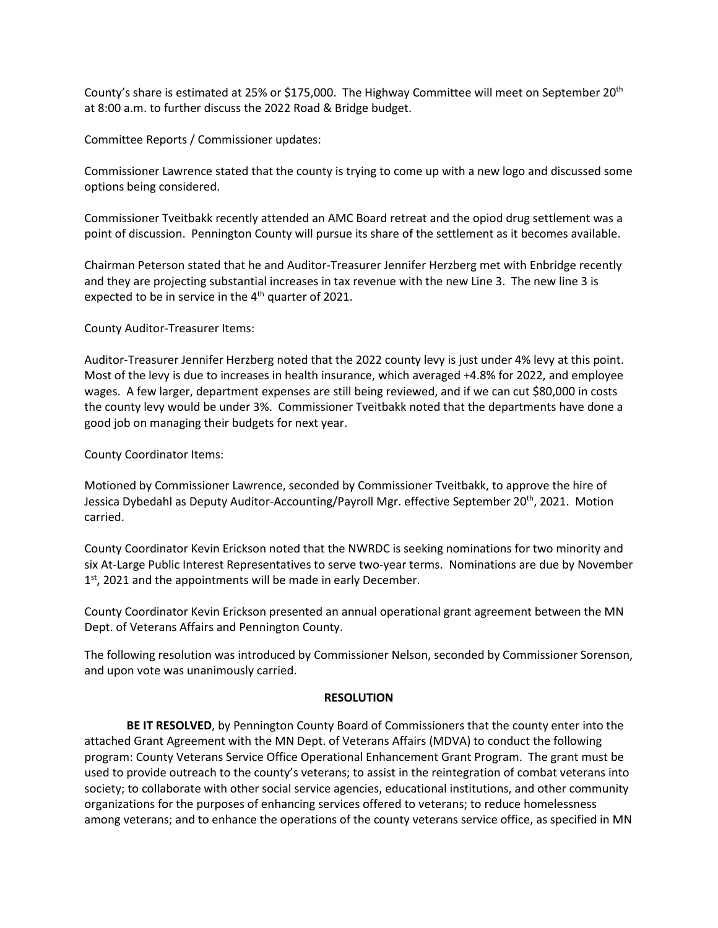County's share is estimated at 25% or \$175,000. The Highway Committee will meet on September 20th at 8:00 a.m. to further discuss the 2022 Road & Bridge budget.

Committee Reports / Commissioner updates:

Commissioner Lawrence stated that the county is trying to come up with a new logo and discussed some options being considered.

Commissioner Tveitbakk recently attended an AMC Board retreat and the opiod drug settlement was a point of discussion. Pennington County will pursue its share of the settlement as it becomes available.

Chairman Peterson stated that he and Auditor-Treasurer Jennifer Herzberg met with Enbridge recently and they are projecting substantial increases in tax revenue with the new Line 3. The new line 3 is expected to be in service in the 4<sup>th</sup> quarter of 2021.

County Auditor-Treasurer Items:

Auditor-Treasurer Jennifer Herzberg noted that the 2022 county levy is just under 4% levy at this point. Most of the levy is due to increases in health insurance, which averaged +4.8% for 2022, and employee wages. A few larger, department expenses are still being reviewed, and if we can cut \$80,000 in costs the county levy would be under 3%. Commissioner Tveitbakk noted that the departments have done a good job on managing their budgets for next year.

County Coordinator Items:

Motioned by Commissioner Lawrence, seconded by Commissioner Tveitbakk, to approve the hire of Jessica Dybedahl as Deputy Auditor-Accounting/Payroll Mgr. effective September 20<sup>th</sup>, 2021. Motion carried.

County Coordinator Kevin Erickson noted that the NWRDC is seeking nominations for two minority and six At-Large Public Interest Representatives to serve two-year terms. Nominations are due by November  $1<sup>st</sup>$ , 2021 and the appointments will be made in early December.

County Coordinator Kevin Erickson presented an annual operational grant agreement between the MN Dept. of Veterans Affairs and Pennington County.

The following resolution was introduced by Commissioner Nelson, seconded by Commissioner Sorenson, and upon vote was unanimously carried.

## **RESOLUTION**

**BE IT RESOLVED**, by Pennington County Board of Commissioners that the county enter into the attached Grant Agreement with the MN Dept. of Veterans Affairs (MDVA) to conduct the following program: County Veterans Service Office Operational Enhancement Grant Program. The grant must be used to provide outreach to the county's veterans; to assist in the reintegration of combat veterans into society; to collaborate with other social service agencies, educational institutions, and other community organizations for the purposes of enhancing services offered to veterans; to reduce homelessness among veterans; and to enhance the operations of the county veterans service office, as specified in MN